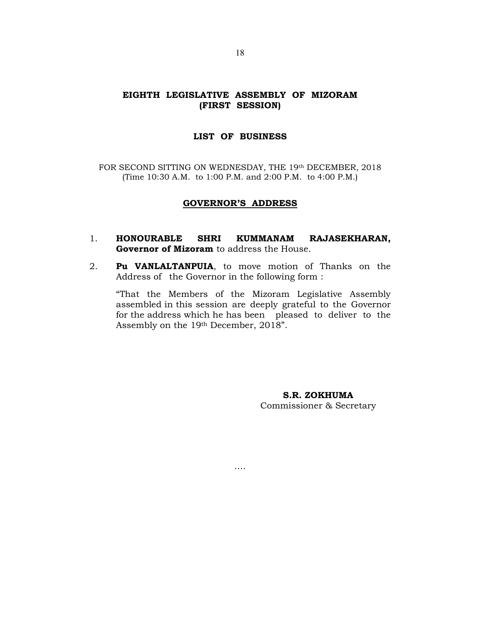## EIGHTH LEGISLATIVE ASSEMBLY OF MIZORAM (FIRST SESSION)

## LIST OF BUSINESS

FOR SECOND SITTING ON WEDNESDAY, THE 19th DECEMBER, 2018 (Time 10:30 A.M. to 1:00 P.M. and 2:00 P.M. to 4:00 P.M.)

## GOVERNOR'S ADDRESS

- 1. HONOURABLE SHRI KUMMANAM RAJASEKHARAN, Governor of Mizoram to address the House.
- 2. Pu VANLALTANPUIA, to move motion of Thanks on the Address of the Governor in the following form :

….

 "That the Members of the Mizoram Legislative Assembly assembled in this session are deeply grateful to the Governor for the address which he has been pleased to deliver to the Assembly on the 19th December, 2018".

> S.R. ZOKHUMA Commissioner & Secretary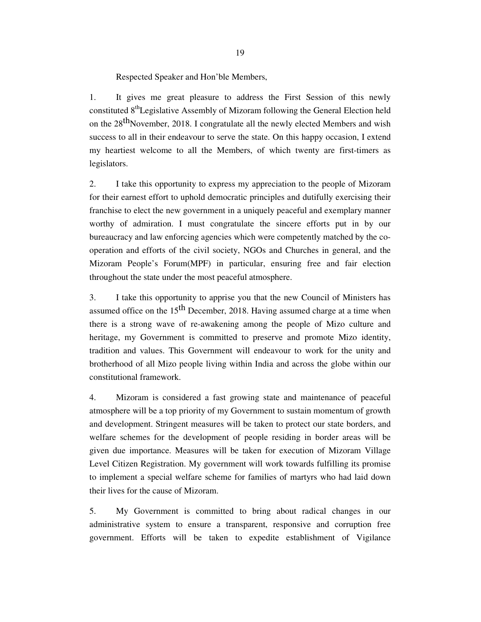Respected Speaker and Hon'ble Members,

1. It gives me great pleasure to address the First Session of this newly constituted 8<sup>th</sup>Legislative Assembly of Mizoram following the General Election held on the  $28<sup>th</sup>$ November, 2018. I congratulate all the newly elected Members and wish success to all in their endeavour to serve the state. On this happy occasion, I extend my heartiest welcome to all the Members, of which twenty are first-timers as legislators.

2. I take this opportunity to express my appreciation to the people of Mizoram for their earnest effort to uphold democratic principles and dutifully exercising their franchise to elect the new government in a uniquely peaceful and exemplary manner worthy of admiration. I must congratulate the sincere efforts put in by our bureaucracy and law enforcing agencies which were competently matched by the cooperation and efforts of the civil society, NGOs and Churches in general, and the Mizoram People's Forum(MPF) in particular, ensuring free and fair election throughout the state under the most peaceful atmosphere.

3. I take this opportunity to apprise you that the new Council of Ministers has assumed office on the  $15<sup>th</sup>$  December, 2018. Having assumed charge at a time when there is a strong wave of re-awakening among the people of Mizo culture and heritage, my Government is committed to preserve and promote Mizo identity, tradition and values. This Government will endeavour to work for the unity and brotherhood of all Mizo people living within India and across the globe within our constitutional framework.

4. Mizoram is considered a fast growing state and maintenance of peaceful atmosphere will be a top priority of my Government to sustain momentum of growth and development. Stringent measures will be taken to protect our state borders, and welfare schemes for the development of people residing in border areas will be given due importance. Measures will be taken for execution of Mizoram Village Level Citizen Registration. My government will work towards fulfilling its promise to implement a special welfare scheme for families of martyrs who had laid down their lives for the cause of Mizoram.

5. My Government is committed to bring about radical changes in our administrative system to ensure a transparent, responsive and corruption free government. Efforts will be taken to expedite establishment of Vigilance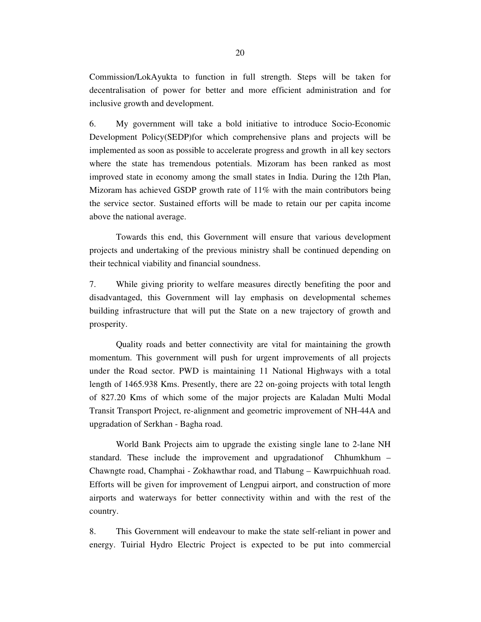Commission/LokAyukta to function in full strength. Steps will be taken for decentralisation of power for better and more efficient administration and for inclusive growth and development.

6. My government will take a bold initiative to introduce Socio-Economic Development Policy(SEDP)for which comprehensive plans and projects will be implemented as soon as possible to accelerate progress and growth in all key sectors where the state has tremendous potentials. Mizoram has been ranked as most improved state in economy among the small states in India. During the 12th Plan, Mizoram has achieved GSDP growth rate of 11% with the main contributors being the service sector. Sustained efforts will be made to retain our per capita income above the national average.

 Towards this end, this Government will ensure that various development projects and undertaking of the previous ministry shall be continued depending on their technical viability and financial soundness.

7. While giving priority to welfare measures directly benefiting the poor and disadvantaged, this Government will lay emphasis on developmental schemes building infrastructure that will put the State on a new trajectory of growth and prosperity.

 Quality roads and better connectivity are vital for maintaining the growth momentum. This government will push for urgent improvements of all projects under the Road sector. PWD is maintaining 11 National Highways with a total length of 1465.938 Kms. Presently, there are 22 on-going projects with total length of 827.20 Kms of which some of the major projects are Kaladan Multi Modal Transit Transport Project, re-alignment and geometric improvement of NH-44A and upgradation of Serkhan - Bagha road.

 World Bank Projects aim to upgrade the existing single lane to 2-lane NH standard. These include the improvement and upgradationof Chhumkhum – Chawngte road, Champhai - Zokhawthar road, and Tlabung – Kawrpuichhuah road. Efforts will be given for improvement of Lengpui airport, and construction of more airports and waterways for better connectivity within and with the rest of the country.

8. This Government will endeavour to make the state self-reliant in power and energy. Tuirial Hydro Electric Project is expected to be put into commercial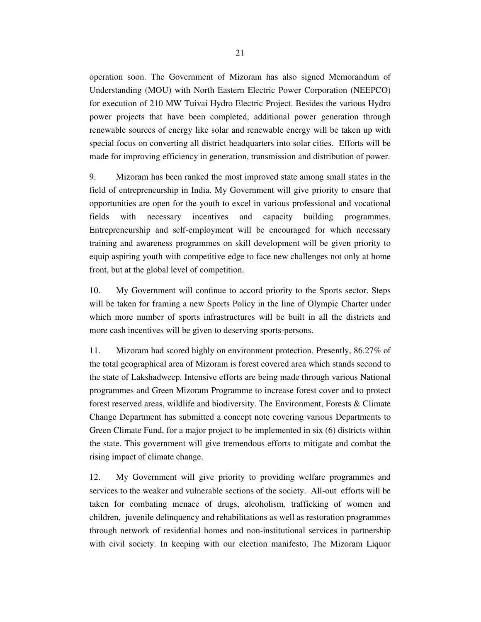operation soon. The Government of Mizoram has also signed Memorandum of Understanding (MOU) with North Eastern Electric Power Corporation (NEEPCO) for execution of 210 MW Tuivai Hydro Electric Project. Besides the various Hydro power projects that have been completed, additional power generation through renewable sources of energy like solar and renewable energy will be taken up with special focus on converting all district headquarters into solar cities. Efforts will be made for improving efficiency in generation, transmission and distribution of power.

9. Mizoram has been ranked the most improved state among small states in the field of entrepreneurship in India. My Government will give priority to ensure that opportunities are open for the youth to excel in various professional and vocational fields with necessary incentives and capacity building programmes. Entrepreneurship and self-employment will be encouraged for which necessary training and awareness programmes on skill development will be given priority to equip aspiring youth with competitive edge to face new challenges not only at home front, but at the global level of competition.

10. My Government will continue to accord priority to the Sports sector. Steps will be taken for framing a new Sports Policy in the line of Olympic Charter under which more number of sports infrastructures will be built in all the districts and more cash incentives will be given to deserving sports-persons.

11. Mizoram had scored highly on environment protection. Presently, 86.27% of the total geographical area of Mizoram is forest covered area which stands second to the state of Lakshadweep. Intensive efforts are being made through various National programmes and Green Mizoram Programme to increase forest cover and to protect forest reserved areas, wildlife and biodiversity. The Environment, Forests & Climate Change Department has submitted a concept note covering various Departments to Green Climate Fund, for a major project to be implemented in six (6) districts within the state. This government will give tremendous efforts to mitigate and combat the rising impact of climate change.

12. My Government will give priority to providing welfare programmes and services to the weaker and vulnerable sections of the society. All-out efforts will be taken for combating menace of drugs, alcoholism, trafficking of women and children, juvenile delinquency and rehabilitations as well as restoration programmes through network of residential homes and non-institutional services in partnership with civil society. In keeping with our election manifesto, The Mizoram Liquor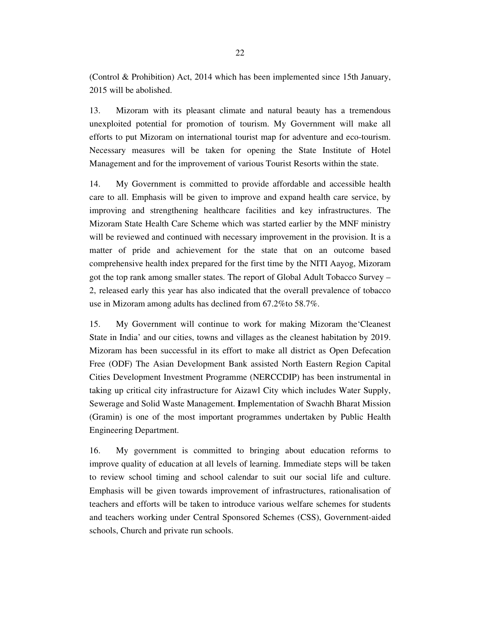(Control & Prohibition) Act, 2014 which has been implemented since 15th January, 2015 will be abolished.

13. Mizoram with its pleasant climate and natural beauty has a tremendous unexploited potential for promotion of tourism. My Government will make all efforts to put Mizoram on international tourist map for adventure and eco-tourism. Necessary measures will be taken for opening the State Institute of Hotel Management and for the improvement of various Tourist Resorts within the state.

14. My Government is committed to provide affordable and accessible health care to all. Emphasis will be given to improve and expand health care service, by improving and strengthening healthcare facilities and key infrastructures. The Mizoram State Health Care Scheme which was started earlier by the MNF ministry will be reviewed and continued with necessary improvement in the provision. It is a matter of pride and achievement for the state that on an outcome based comprehensive health index prepared for the first time by the NITI Aayog, Mizoram got the top rank among smaller states. The report of Global Adult Tobacco Survey – 2, released early this year has also indicated that the overall prevalence of tobacco use in Mizoram among adults has declined from 67.2%to 58.7%.

15. My Government will continue to work for making Mizoram the'Cleanest State in India' and our cities, towns and villages as the cleanest habitation by 2019. Mizoram has been successful in its effort to make all district as Open Defecation Free (ODF) The Asian Development Bank assisted North Eastern Region Capital Cities Development Investment Programme (NERCCDIP) has been instrumental in taking up critical city infrastructure for Aizawl City which includes Water Supply, Sewerage and Solid Waste Management. **I**mplementation of Swachh Bharat Mission (Gramin) is one of the most important programmes undertaken by Public Health Engineering Department.

16. My government is committed to bringing about education reforms to improve quality of education at all levels of learning. Immediate steps will be taken to review school timing and school calendar to suit our social life and culture. Emphasis will be given towards improvement of infrastructures, rationalisation of teachers and efforts will be taken to introduce various welfare schemes for students and teachers working under Central Sponsored Schemes (CSS), Government-aided schools, Church and private run schools.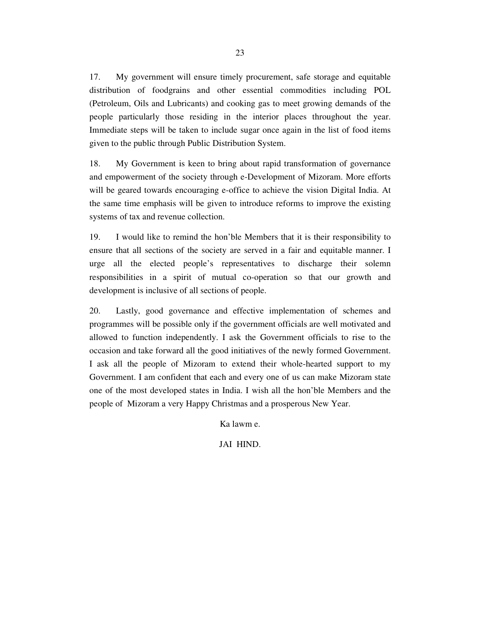17. My government will ensure timely procurement, safe storage and equitable distribution of foodgrains and other essential commodities including POL (Petroleum, Oils and Lubricants) and cooking gas to meet growing demands of the people particularly those residing in the interior places throughout the year. Immediate steps will be taken to include sugar once again in the list of food items given to the public through Public Distribution System.

18. My Government is keen to bring about rapid transformation of governance and empowerment of the society through e-Development of Mizoram. More efforts will be geared towards encouraging e-office to achieve the vision Digital India. At the same time emphasis will be given to introduce reforms to improve the existing systems of tax and revenue collection.

19. I would like to remind the hon'ble Members that it is their responsibility to ensure that all sections of the society are served in a fair and equitable manner. I urge all the elected people's representatives to discharge their solemn responsibilities in a spirit of mutual co-operation so that our growth and development is inclusive of all sections of people.

20. Lastly, good governance and effective implementation of schemes and programmes will be possible only if the government officials are well motivated and allowed to function independently. I ask the Government officials to rise to the occasion and take forward all the good initiatives of the newly formed Government. I ask all the people of Mizoram to extend their whole-hearted support to my Government. I am confident that each and every one of us can make Mizoram state one of the most developed states in India. I wish all the hon'ble Members and the people of Mizoram a very Happy Christmas and a prosperous New Year.

Ka lawm e.

JAI HIND.